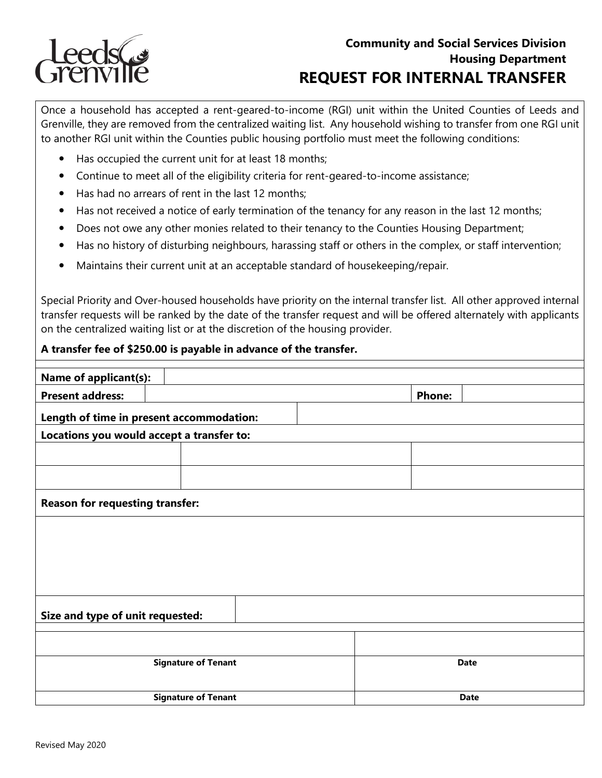

## **Community and Social Services Division Housing Department REQUEST FOR INTERNAL TRANSFER**

Once a household has accepted a rent-geared-to-income (RGI) unit within the United Counties of Leeds and Grenville, they are removed from the centralized waiting list. Any household wishing to transfer from one RGI unit to another RGI unit within the Counties public housing portfolio must meet the following conditions:

- Has occupied the current unit for at least 18 months;
- Continue to meet all of the eligibility criteria for rent-geared-to-income assistance;
- Has had no arrears of rent in the last 12 months;
- Has not received a notice of early termination of the tenancy for any reason in the last 12 months;
- Does not owe any other monies related to their tenancy to the Counties Housing Department;
- Has no history of disturbing neighbours, harassing staff or others in the complex, or staff intervention;
- Maintains their current unit at an acceptable standard of housekeeping/repair.

 transfer requests will be ranked by the date of the transfer request and will be offered alternately with applicants Special Priority and Over-housed households have priority on the internal transfer list. All other approved internal on the centralized waiting list or at the discretion of the housing provider.

| A transfer fee of \$250.00 is payable in advance of the transfer. |  |               |  |  |  |  |
|-------------------------------------------------------------------|--|---------------|--|--|--|--|
|                                                                   |  |               |  |  |  |  |
| <b>Name of applicant(s):</b>                                      |  |               |  |  |  |  |
| <b>Present address:</b>                                           |  | <b>Phone:</b> |  |  |  |  |
| Length of time in present accommodation:                          |  |               |  |  |  |  |
| Locations you would accept a transfer to:                         |  |               |  |  |  |  |
|                                                                   |  |               |  |  |  |  |
|                                                                   |  |               |  |  |  |  |
|                                                                   |  |               |  |  |  |  |
| <b>Reason for requesting transfer:</b>                            |  |               |  |  |  |  |
|                                                                   |  |               |  |  |  |  |
|                                                                   |  |               |  |  |  |  |
|                                                                   |  |               |  |  |  |  |
|                                                                   |  |               |  |  |  |  |
|                                                                   |  |               |  |  |  |  |
|                                                                   |  |               |  |  |  |  |
| Size and type of unit requested:                                  |  |               |  |  |  |  |
|                                                                   |  |               |  |  |  |  |
|                                                                   |  |               |  |  |  |  |
| <b>Signature of Tenant</b>                                        |  | <b>Date</b>   |  |  |  |  |
|                                                                   |  |               |  |  |  |  |
|                                                                   |  | <b>Date</b>   |  |  |  |  |
| <b>Signature of Tenant</b>                                        |  |               |  |  |  |  |